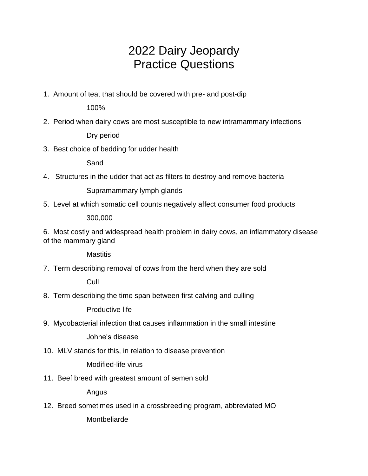# 2022 Dairy Jeopardy Practice Questions

1. Amount of teat that should be covered with pre- and post-dip

100%

2. Period when dairy cows are most susceptible to new intramammary infections

Dry period

3. Best choice of bedding for udder health

Sand

4. Structures in the udder that act as filters to destroy and remove bacteria

Supramammary lymph glands

5. Level at which somatic cell counts negatively affect consumer food products

300,000

6. Most costly and widespread health problem in dairy cows, an inflammatory disease of the mammary gland

**Mastitis** 

7. Term describing removal of cows from the herd when they are sold

**Cull** 

8. Term describing the time span between first calving and culling

Productive life

9. Mycobacterial infection that causes inflammation in the small intestine

Johne's disease

10. MLV stands for this, in relation to disease prevention

Modified-life virus

11. Beef breed with greatest amount of semen sold

Angus

12. Breed sometimes used in a crossbreeding program, abbreviated MO

**Montbeliarde**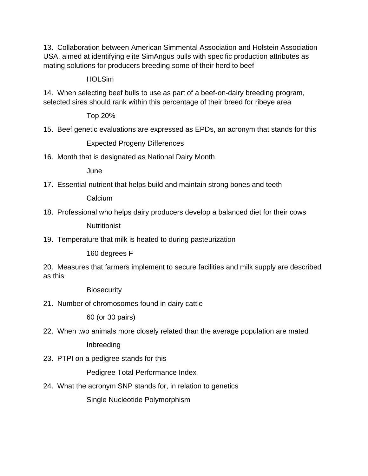13. Collaboration between American Simmental Association and Holstein Association USA, aimed at identifying elite SimAngus bulls with specific production attributes as mating solutions for producers breeding some of their herd to beef

**HOLSim** 

14. When selecting beef bulls to use as part of a beef-on-dairy breeding program, selected sires should rank within this percentage of their breed for ribeye area

Top 20%

15. Beef genetic evaluations are expressed as EPDs, an acronym that stands for this

Expected Progeny Differences

16. Month that is designated as National Dairy Month

June

17. Essential nutrient that helps build and maintain strong bones and teeth

Calcium

18. Professional who helps dairy producers develop a balanced diet for their cows

**Nutritionist** 

19. Temperature that milk is heated to during pasteurization

160 degrees F

20. Measures that farmers implement to secure facilities and milk supply are described as this

**Biosecurity** 

21. Number of chromosomes found in dairy cattle

60 (or 30 pairs)

22. When two animals more closely related than the average population are mated

Inbreeding

23. PTPI on a pedigree stands for this

Pedigree Total Performance Index

24. What the acronym SNP stands for, in relation to genetics

Single Nucleotide Polymorphism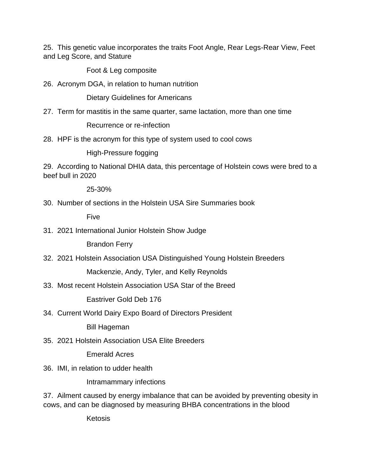25. This genetic value incorporates the traits Foot Angle, Rear Legs-Rear View, Feet and Leg Score, and Stature

Foot & Leg composite

26. Acronym DGA, in relation to human nutrition

Dietary Guidelines for Americans

27. Term for mastitis in the same quarter, same lactation, more than one time

Recurrence or re-infection

28. HPF is the acronym for this type of system used to cool cows

High-Pressure fogging

29. According to National DHIA data, this percentage of Holstein cows were bred to a beef bull in 2020

25-30%

30. Number of sections in the Holstein USA Sire Summaries book

Five

31. 2021 International Junior Holstein Show Judge

Brandon Ferry

32. 2021 Holstein Association USA Distinguished Young Holstein Breeders

Mackenzie, Andy, Tyler, and Kelly Reynolds

33. Most recent Holstein Association USA Star of the Breed

Eastriver Gold Deb 176

34. Current World Dairy Expo Board of Directors President

Bill Hageman

35. 2021 Holstein Association USA Elite Breeders

Emerald Acres

36. IMI, in relation to udder health

Intramammary infections

37. Ailment caused by energy imbalance that can be avoided by preventing obesity in cows, and can be diagnosed by measuring BHBA concentrations in the blood

Ketosis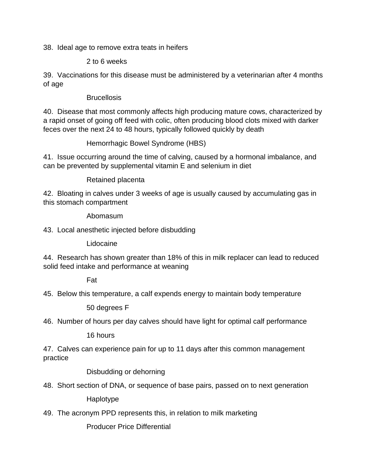38. Ideal age to remove extra teats in heifers

#### 2 to 6 weeks

39. Vaccinations for this disease must be administered by a veterinarian after 4 months of age

### **Brucellosis**

40. Disease that most commonly affects high producing mature cows, characterized by a rapid onset of going off feed with colic, often producing blood clots mixed with darker feces over the next 24 to 48 hours, typically followed quickly by death

Hemorrhagic Bowel Syndrome (HBS)

41. Issue occurring around the time of calving, caused by a hormonal imbalance, and can be prevented by supplemental vitamin E and selenium in diet

Retained placenta

42. Bloating in calves under 3 weeks of age is usually caused by accumulating gas in this stomach compartment

Abomasum

43. Local anesthetic injected before disbudding

Lidocaine

44. Research has shown greater than 18% of this in milk replacer can lead to reduced solid feed intake and performance at weaning

Fat

45. Below this temperature, a calf expends energy to maintain body temperature

50 degrees F

46. Number of hours per day calves should have light for optimal calf performance

16 hours

47. Calves can experience pain for up to 11 days after this common management practice

Disbudding or dehorning

48. Short section of DNA, or sequence of base pairs, passed on to next generation

Haplotype

49. The acronym PPD represents this, in relation to milk marketing

Producer Price Differential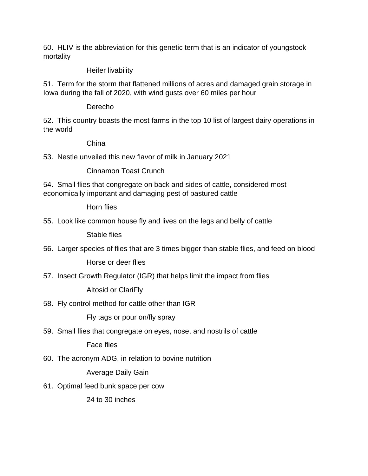50. HLIV is the abbreviation for this genetic term that is an indicator of youngstock mortality

# Heifer livability

51. Term for the storm that flattened millions of acres and damaged grain storage in Iowa during the fall of 2020, with wind gusts over 60 miles per hour

**Derecho** 

52. This country boasts the most farms in the top 10 list of largest dairy operations in the world

# China

53. Nestle unveiled this new flavor of milk in January 2021

Cinnamon Toast Crunch

54. Small flies that congregate on back and sides of cattle, considered most economically important and damaging pest of pastured cattle

Horn flies

55. Look like common house fly and lives on the legs and belly of cattle

Stable flies

56. Larger species of flies that are 3 times bigger than stable flies, and feed on blood

Horse or deer flies

57. Insect Growth Regulator (IGR) that helps limit the impact from flies

Altosid or ClariFly

58. Fly control method for cattle other than IGR

Fly tags or pour on/fly spray

59. Small flies that congregate on eyes, nose, and nostrils of cattle

Face flies

60. The acronym ADG, in relation to bovine nutrition

Average Daily Gain

61. Optimal feed bunk space per cow

24 to 30 inches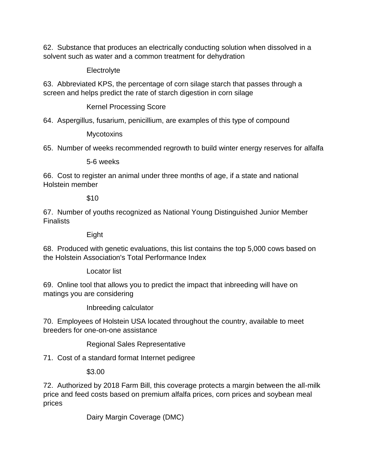62. Substance that produces an electrically conducting solution when dissolved in a solvent such as water and a common treatment for dehydration

**Electrolyte** 

63. Abbreviated KPS, the percentage of corn silage starch that passes through a screen and helps predict the rate of starch digestion in corn silage

Kernel Processing Score

64. Aspergillus, fusarium, penicillium, are examples of this type of compound

**Mycotoxins** 

65. Number of weeks recommended regrowth to build winter energy reserves for alfalfa

5-6 weeks

66. Cost to register an animal under three months of age, if a state and national Holstein member

\$10

67. Number of youths recognized as National Young Distinguished Junior Member Finalists

Eight

68. Produced with genetic evaluations, this list contains the top 5,000 cows based on the Holstein Association's Total Performance Index

Locator list

69. Online tool that allows you to predict the impact that inbreeding will have on matings you are considering

Inbreeding calculator

70. Employees of Holstein USA located throughout the country, available to meet breeders for one-on-one assistance

Regional Sales Representative

71. Cost of a standard format Internet pedigree

\$3.00

72. Authorized by 2018 Farm Bill, this coverage protects a margin between the all-milk price and feed costs based on premium alfalfa prices, corn prices and soybean meal prices

Dairy Margin Coverage (DMC)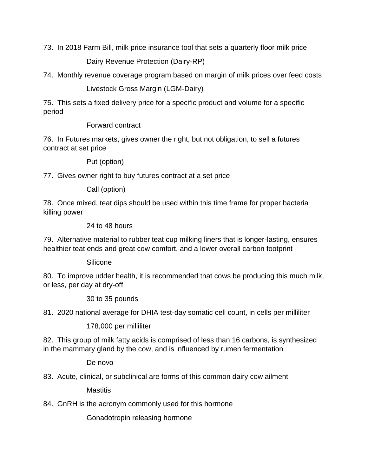73. In 2018 Farm Bill, milk price insurance tool that sets a quarterly floor milk price

Dairy Revenue Protection (Dairy-RP)

74. Monthly revenue coverage program based on margin of milk prices over feed costs

Livestock Gross Margin (LGM-Dairy)

75. This sets a fixed delivery price for a specific product and volume for a specific period

Forward contract

76. In Futures markets, gives owner the right, but not obligation, to sell a futures contract at set price

Put (option)

77. Gives owner right to buy futures contract at a set price

Call (option)

78. Once mixed, teat dips should be used within this time frame for proper bacteria killing power

24 to 48 hours

79. Alternative material to rubber teat cup milking liners that is longer-lasting, ensures healthier teat ends and great cow comfort, and a lower overall carbon footprint

Silicone

80. To improve udder health, it is recommended that cows be producing this much milk, or less, per day at dry-off

30 to 35 pounds

81. 2020 national average for DHIA test-day somatic cell count, in cells per milliliter

178,000 per milliliter

82. This group of milk fatty acids is comprised of less than 16 carbons, is synthesized in the mammary gland by the cow, and is influenced by rumen fermentation

De novo

83. Acute, clinical, or subclinical are forms of this common dairy cow ailment

**Mastitis** 

84. GnRH is the acronym commonly used for this hormone

Gonadotropin releasing hormone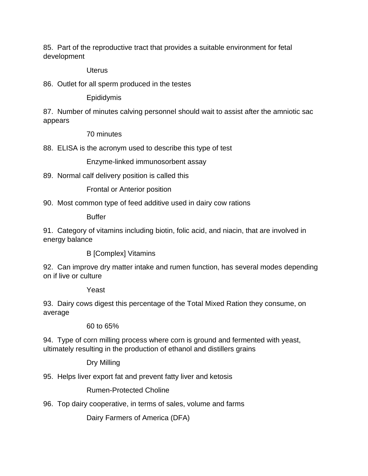85. Part of the reproductive tract that provides a suitable environment for fetal development

**Uterus** 

86. Outlet for all sperm produced in the testes

Epididymis

87. Number of minutes calving personnel should wait to assist after the amniotic sac appears

70 minutes

88. ELISA is the acronym used to describe this type of test

Enzyme-linked immunosorbent assay

89. Normal calf delivery position is called this

Frontal or Anterior position

90. Most common type of feed additive used in dairy cow rations

Buffer

91. Category of vitamins including biotin, folic acid, and niacin, that are involved in energy balance

B [Complex] Vitamins

92. Can improve dry matter intake and rumen function, has several modes depending on if live or culture

Yeast

93. Dairy cows digest this percentage of the Total Mixed Ration they consume, on average

60 to 65%

94. Type of corn milling process where corn is ground and fermented with yeast, ultimately resulting in the production of ethanol and distillers grains

Dry Milling

95. Helps liver export fat and prevent fatty liver and ketosis

Rumen-Protected Choline

96. Top dairy cooperative, in terms of sales, volume and farms

Dairy Farmers of America (DFA)